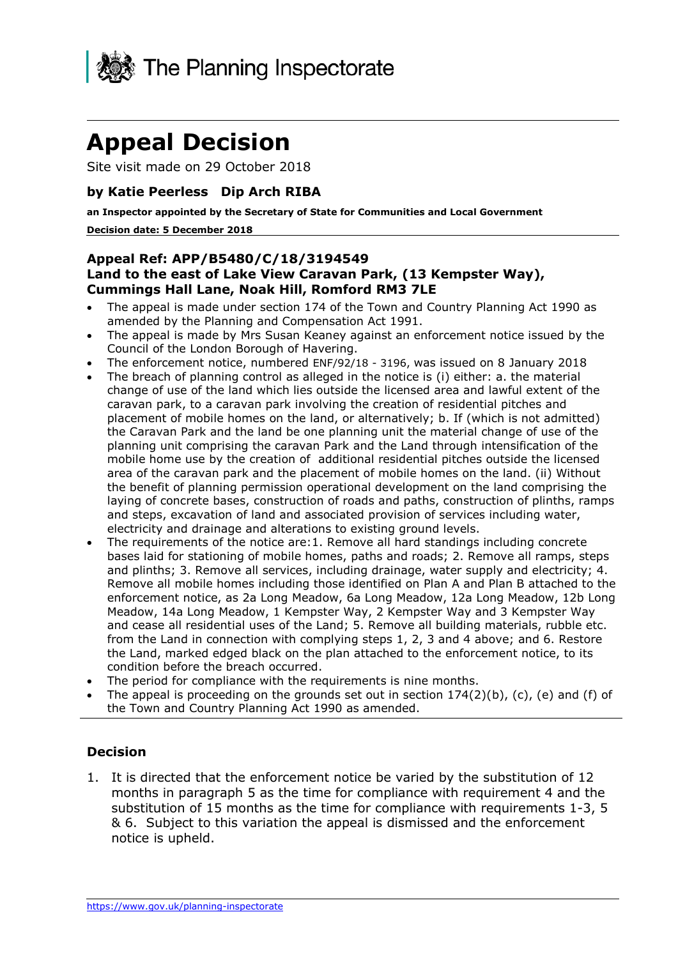

# **Appeal Decision**

Site visit made on 29 October 2018

#### **by Katie Peerless Dip Arch RIBA**

 **an Inspector appointed by the Secretary of State for Communities and Local Government Decision date: 5 December 2018** 

#### **Land to the east of Lake View Caravan Park, (13 Kempster Way), Cummings Hall Lane, Noak Hill, Romford RM3 7LE Appeal Ref: APP/B5480/C/18/3194549**

- The appeal is made under section 174 of the Town and Country Planning Act 1990 as amended by the Planning and Compensation Act 1991.
- The appeal is made by Mrs Susan Keaney against an enforcement notice issued by the Council of the London Borough of Havering.
- The enforcement notice, numbered ENF/92/18 3196, was issued on 8 January 2018
- the Caravan Park and the land be one planning unit the material change of use of the planning unit comprising the caravan Park and the Land through intensification of the The breach of planning control as alleged in the notice is (i) either: a. the material change of use of the land which lies outside the licensed area and lawful extent of the caravan park, to a caravan park involving the creation of residential pitches and placement of mobile homes on the land, or alternatively; b. If (which is not admitted) mobile home use by the creation of additional residential pitches outside the licensed area of the caravan park and the placement of mobile homes on the land. (ii) Without the benefit of planning permission operational development on the land comprising the laying of concrete bases, construction of roads and paths, construction of plinths, ramps and steps, excavation of land and associated provision of services including water, electricity and drainage and alterations to existing ground levels.
- enforcement notice, as 2a Long Meadow, 6a Long Meadow, 12a Long Meadow, 12b Long The requirements of the notice are:1. Remove all hard standings including concrete bases laid for stationing of mobile homes, paths and roads; 2. Remove all ramps, steps and plinths; 3. Remove all services, including drainage, water supply and electricity; 4. Remove all mobile homes including those identified on Plan A and Plan B attached to the Meadow, 14a Long Meadow, 1 Kempster Way, 2 Kempster Way and 3 Kempster Way and cease all residential uses of the Land; 5. Remove all building materials, rubble etc. from the Land in connection with complying steps 1, 2, 3 and 4 above; and 6. Restore the Land, marked edged black on the plan attached to the enforcement notice, to its condition before the breach occurred.
- The period for compliance with the requirements is nine months.
- The appeal is proceeding on the grounds set out in section  $174(2)(b)$ , (c), (e) and (f) of the Town and Country Planning Act 1990 as amended.

#### **Decision**

 months in paragraph 5 as the time for compliance with requirement 4 and the substitution of 15 months as the time for compliance with requirements 1-3, 5 & 6. Subject to this variation the appeal is dismissed and the enforcement 1. It is directed that the enforcement notice be varied by the substitution of 12 notice is upheld.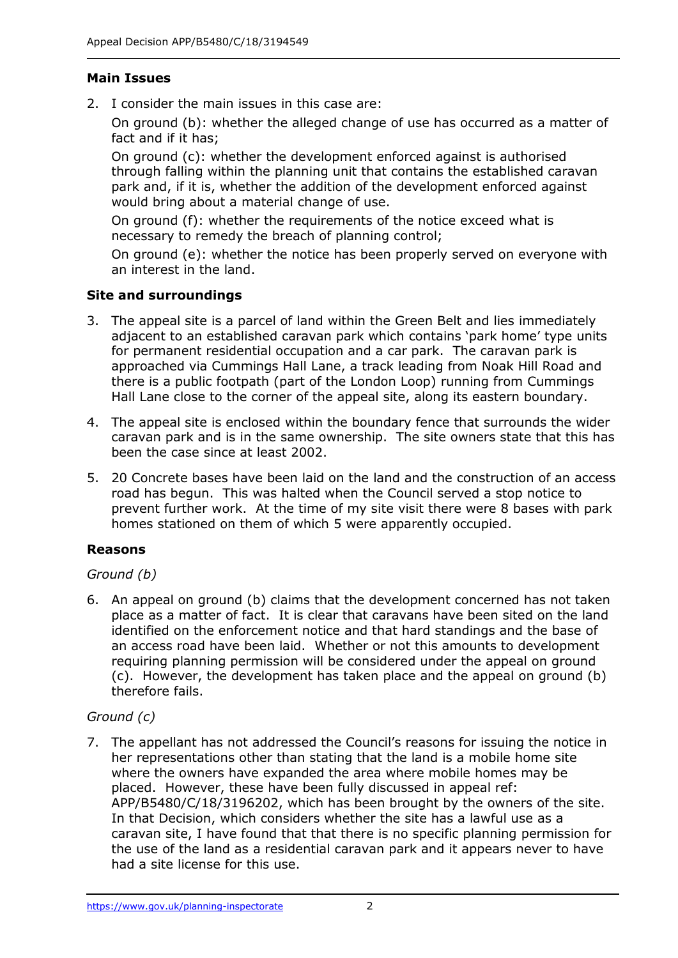## **Main Issues**

2. I consider the main issues in this case are:

 On ground (b): whether the alleged change of use has occurred as a matter of fact and if it has;

 On ground (c): whether the development enforced against is authorised through falling within the planning unit that contains the established caravan park and, if it is, whether the addition of the development enforced against would bring about a material change of use.

 On ground (f): whether the requirements of the notice exceed what is necessary to remedy the breach of planning control;

 On ground (e): whether the notice has been properly served on everyone with an interest in the land.

## **Site and surroundings**

- 3. The appeal site is a parcel of land within the Green Belt and lies immediately adjacent to an established caravan park which contains 'park home' type units for permanent residential occupation and a car park. The caravan park is approached via Cummings Hall Lane, a track leading from Noak Hill Road and there is a public footpath (part of the London Loop) running from Cummings Hall Lane close to the corner of the appeal site, along its eastern boundary.
- caravan park and is in the same ownership. The site owners state that this has been the case since at least 2002. 4. The appeal site is enclosed within the boundary fence that surrounds the wider
- 5. 20 Concrete bases have been laid on the land and the construction of an access road has begun. This was halted when the Council served a stop notice to prevent further work. At the time of my site visit there were 8 bases with park homes stationed on them of which 5 were apparently occupied.

## **Reasons**

## *Ground (b)*

 place as a matter of fact. It is clear that caravans have been sited on the land identified on the enforcement notice and that hard standings and the base of an access road have been laid. Whether or not this amounts to development requiring planning permission will be considered under the appeal on ground (c). However, the development has taken place and the appeal on ground (b) 6. An appeal on ground (b) claims that the development concerned has not taken therefore fails.

## *Ground (c)*

 7. The appellant has not addressed the Council's reasons for issuing the notice in her representations other than stating that the land is a mobile home site placed. However, these have been fully discussed in appeal ref: APP/B5480/C/18/3196202, which has been brought by the owners of the site. In that Decision, which considers whether the site has a lawful use as a the use of the land as a residential caravan park and it appears never to have had a site license for this use. where the owners have expanded the area where mobile homes may be caravan site, I have found that that there is no specific planning permission for